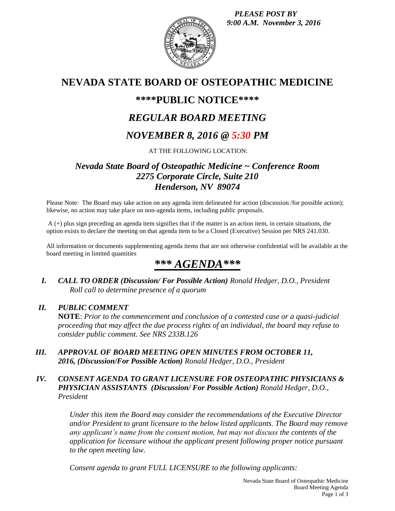*PLEASE POST BY 9:00 A.M. November 3, 2016*



# **NEVADA STATE BOARD OF OSTEOPATHIC MEDICINE**

## **\*\*\*\*PUBLIC NOTICE\*\*\*\***

# *REGULAR BOARD MEETING*

# *NOVEMBER 8, 2016 @ 5:30 PM*

### AT THE FOLLOWING LOCATION:

### *Nevada State Board of Osteopathic Medicine ~ Conference Room 2275 Corporate Circle, Suite 210 Henderson, NV 89074*

Please Note: The Board may take action on any agenda item delineated for action (discussion /for possible action); likewise, no action may take place on non-agenda items, including public proposals.

A (+) plus sign preceding an agenda item signifies that if the matter is an action item, in certain situations, the option exists to declare the meeting on that agenda item to be a Closed (Executive) Session per NRS 241.030.

All information or documents supplementing agenda items that are not otherwise confidential will be available at the board meeting in limited quantities

# *\*\*\* AGENDA\*\*\**

*I. CALL TO ORDER (Discussion/ For Possible Action) Ronald Hedger, D.O., President Roll call to determine presence of a quorum*

#### *II. PUBLIC COMMENT*

**NOTE**: *Prior to the commencement and conclusion of a contested case or a quasi-judicial proceeding that may affect the due process rights of an individual, the board may refuse to consider public comment. See NRS 233B.126*

*III. APPROVAL OF BOARD MEETING OPEN MINUTES FROM OCTOBER 11, 2016, (Discussion/For Possible Action) Ronald Hedger, D.O., President*

### *IV. CONSENT AGENDA TO GRANT LICENSURE FOR OSTEOPATHIC PHYSICIANS & PHYSICIAN ASSISTANTS (Discussion/ For Possible Action) Ronald Hedger, D.O., President*

*Under this item the Board may consider the recommendations of the Executive Director and/or President to grant licensure to the below listed applicants. The Board may remove any applicant's name from the consent motion, but may not discuss the contents of the application for licensure without the applicant present following proper notice pursuant to the open meeting law.* 

*Consent agenda to grant FULL LICENSURE to the following applicants:*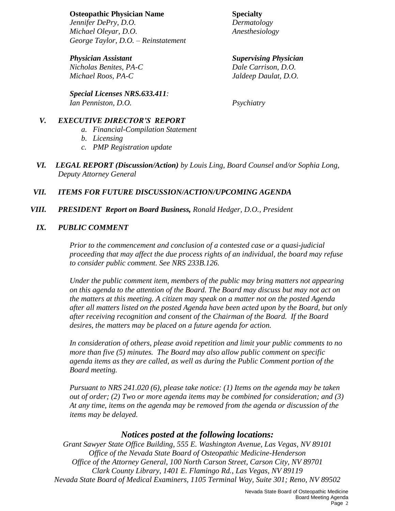#### **Osteopathic Physician Name Specialty**

*Jennifer DePry, D.O. Dermatology Michael Oleyar, D.O. Anesthesiology George Taylor, D.O. – Reinstatement*

*Physician Assistant Supervising Physician Nicholas Benites, PA-C Dale Carrison, D.O. Michael Roos, PA-C Jaldeep Daulat, D.O.*

*Special Licenses NRS.633.411: Ian Penniston, D.O. Psychiatry*

#### *V. EXECUTIVE DIRECTOR'S REPORT*

- *a. Financial-Compilation Statement*
- *b. Licensing*
- *c. PMP Registration update*
- *VI. LEGAL REPORT (Discussion/Action) by Louis Ling, Board Counsel and/or Sophia Long, Deputy Attorney General*

### *VII. ITEMS FOR FUTURE DISCUSSION/ACTION/UPCOMING AGENDA*

*VIII. PRESIDENT Report on Board Business, Ronald Hedger, D.O., President*

#### *IX. PUBLIC COMMENT*

*Prior to the commencement and conclusion of a contested case or a quasi-judicial proceeding that may affect the due process rights of an individual, the board may refuse to consider public comment. See NRS 233B.126.*

*Under the public comment item, members of the public may bring matters not appearing on this agenda to the attention of the Board. The Board may discuss but may not act on the matters at this meeting. A citizen may speak on a matter not on the posted Agenda after all matters listed on the posted Agenda have been acted upon by the Board, but only after receiving recognition and consent of the Chairman of the Board. If the Board desires, the matters may be placed on a future agenda for action.*

*In consideration of others, please avoid repetition and limit your public comments to no more than five (5) minutes. The Board may also allow public comment on specific agenda items as they are called, as well as during the Public Comment portion of the Board meeting.* 

*Pursuant to NRS 241.020 (6), please take notice: (1) Items on the agenda may be taken out of order; (2) Two or more agenda items may be combined for consideration; and (3) At any time, items on the agenda may be removed from the agenda or discussion of the items may be delayed.*

### *Notices posted at the following locations:*

*Grant Sawyer State Office Building, 555 E. Washington Avenue, Las Vegas, NV 89101 Office of the Nevada State Board of Osteopathic Medicine-Henderson Office of the Attorney General, 100 North Carson Street, Carson City, NV 89701 Clark County Library, 1401 E. Flamingo Rd., Las Vegas, NV 89119 Nevada State Board of Medical Examiners, 1105 Terminal Way, Suite 301; Reno, NV 89502*